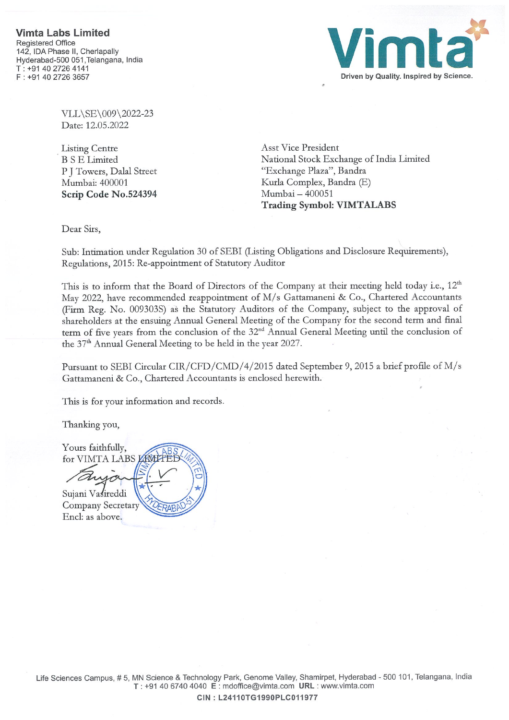

VLL\SE\009\2022-23 Date: 12.05.2022

Listing Centre B <sup>S</sup> E Limited P J Towers, Dalal Street Mumbai: 400001 Scrip Code No.524394 Asst Vice President National Stock Exchange of India Limited "Exchange Plaza", Bandra Kurla Complex, Bandra (E) Mumbai —400051 Trading Symbol: VIMTALABS

Dear Sirs,

Sub: Intimation under Regulation 30 of SEBI (Listing Obligations and Disclosure Requirements), Regulations, 2015: Re-appointment of Statutory Auditor

This is to inform that the Board of Directors of the Company at their meeting held today i.e., 12<sup>th</sup> May 2022, have recommended reappointment of M/s Gattamaneni & Co., Chartered Accountants (Firm Reg. No. 009303S) as the Statutory Auditors of the Company, subject to the approval of shareholders at the ensuing Annual General Meeting of the Company for the second term and final term of five years from the conclusion of the 32<sup>nd</sup> Annual General Meeting until the conclusion of the 37<sup>th</sup> Annual General Meeting to be held in the year 2027.

Pursuant to SEBI Circular CIR/CFD/CMD/4/2015 dated September 9, 2015 a brief profile of M/s Gattamaneni & Co., Chartered Accountants is enclosed herewith.

This is for your information and records.

Thanking you,

Yours faithfully, for VIMTA LABS Sujani Vasireddi Company Secretary Encl: as above.